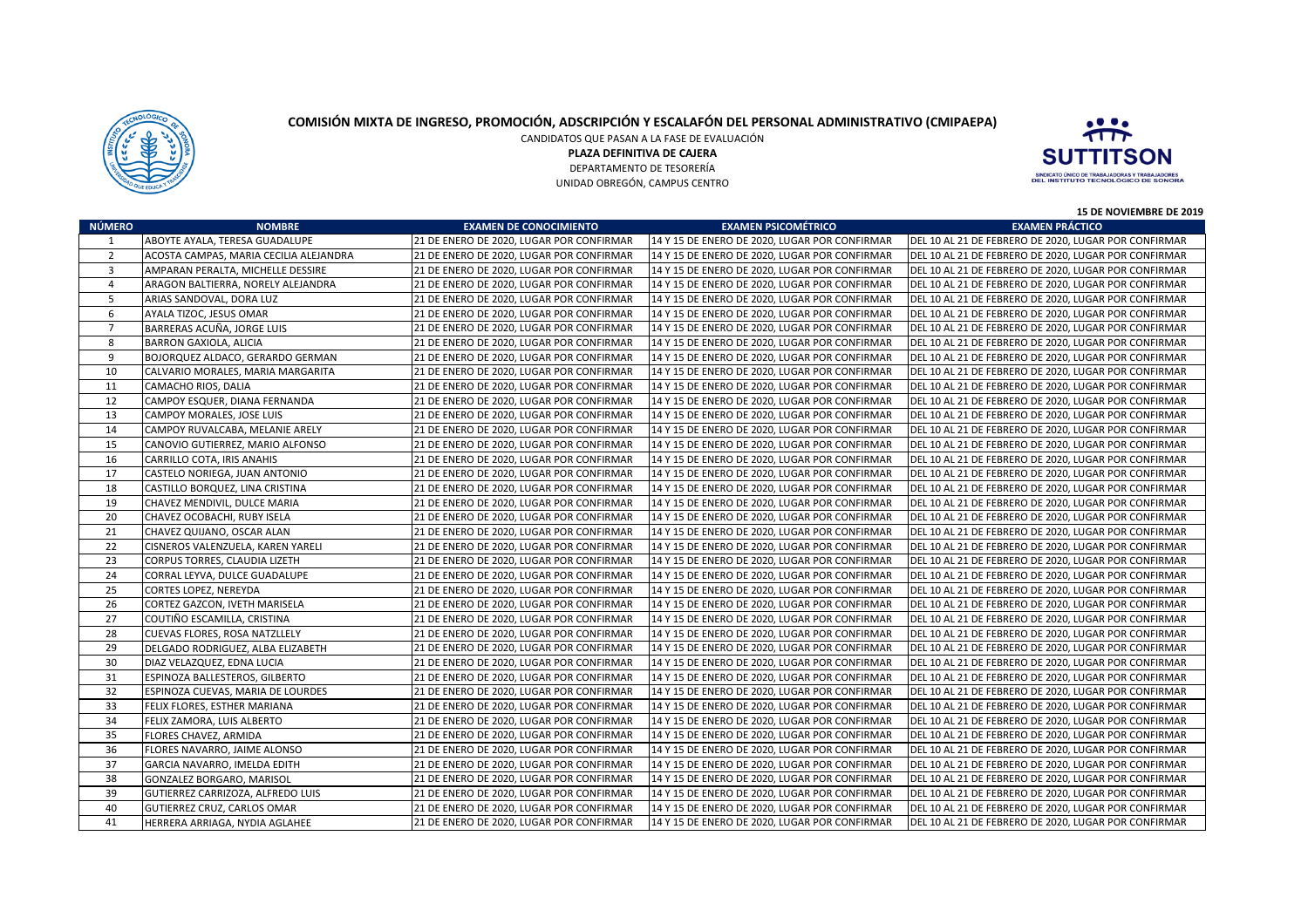

## **COMISIÓN MIXTA DE INGRESO, PROMOCIÓN, ADSCRIPCIÓN Y ESCALAFÓN DEL PERSONAL ADMINISTRATIVO (CMIPAEPA)**

CANDIDATOS QUE PASAN A LA FASE DE EVALUACIÓN

**PLAZA DEFINITIVA DE CAJERA**

 DEPARTAMENTO DE TESORERÍAUNIDAD OBREGÓN, CAMPUS CENTRO



**15 DE NOVIEMBRE DE 2019**

| <b>NÚMERO</b>  | <b>NOMBRE</b>                          | <b>EXAMEN DE CONOCIMIENTO</b>            | <b>EXAMEN PSICOMÉTRICO</b>                    | <b>IS DE NOVIERIBRE DE 2019</b><br><b>EXAMEN PRÁCTICO</b> |
|----------------|----------------------------------------|------------------------------------------|-----------------------------------------------|-----------------------------------------------------------|
| 1              | ABOYTE AYALA. TERESA GUADALUPE         | 21 DE ENERO DE 2020. LUGAR POR CONFIRMAR | 14 Y 15 DE ENERO DE 2020. LUGAR POR CONFIRMAR | DEL 10 AL 21 DE FEBRERO DE 2020, LUGAR POR CONFIRMAR      |
| $\overline{2}$ | ACOSTA CAMPAS, MARIA CECILIA ALEJANDRA | 21 DE ENERO DE 2020, LUGAR POR CONFIRMAR | 14 Y 15 DE ENERO DE 2020, LUGAR POR CONFIRMAR | DEL 10 AL 21 DE FEBRERO DE 2020, LUGAR POR CONFIRMAR      |
| $\overline{3}$ | AMPARAN PERALTA, MICHELLE DESSIRE      | 21 DE ENERO DE 2020, LUGAR POR CONFIRMAR | 14 Y 15 DE ENERO DE 2020, LUGAR POR CONFIRMAR | DEL 10 AL 21 DE FEBRERO DE 2020, LUGAR POR CONFIRMAR      |
| $\overline{4}$ | ARAGON BALTIERRA, NORELY ALEJANDRA     | 21 DE ENERO DE 2020, LUGAR POR CONFIRMAR | 14 Y 15 DE ENERO DE 2020, LUGAR POR CONFIRMAR | DEL 10 AL 21 DE FEBRERO DE 2020, LUGAR POR CONFIRMAR      |
| 5              | ARIAS SANDOVAL, DORA LUZ               | 21 DE ENERO DE 2020, LUGAR POR CONFIRMAR | 14 Y 15 DE ENERO DE 2020, LUGAR POR CONFIRMAR | DEL 10 AL 21 DE FEBRERO DE 2020, LUGAR POR CONFIRMAR      |
| 6              | AYALA TIZOC, JESUS OMAR                | 21 DE ENERO DE 2020, LUGAR POR CONFIRMAR | 14 Y 15 DE ENERO DE 2020, LUGAR POR CONFIRMAR | DEL 10 AL 21 DE FEBRERO DE 2020, LUGAR POR CONFIRMAR      |
| $\overline{7}$ | BARRERAS ACUÑA, JORGE LUIS             | 21 DE ENERO DE 2020, LUGAR POR CONFIRMAR | 14 Y 15 DE ENERO DE 2020, LUGAR POR CONFIRMAR | DEL 10 AL 21 DE FEBRERO DE 2020, LUGAR POR CONFIRMAR      |
| 8              | BARRON GAXIOLA, ALICIA                 | 21 DE ENERO DE 2020, LUGAR POR CONFIRMAR | 14 Y 15 DE ENERO DE 2020, LUGAR POR CONFIRMAR | DEL 10 AL 21 DE FEBRERO DE 2020, LUGAR POR CONFIRMAR      |
| 9              | BOJORQUEZ ALDACO, GERARDO GERMAN       | 21 DE ENERO DE 2020, LUGAR POR CONFIRMAR | 14 Y 15 DE ENERO DE 2020, LUGAR POR CONFIRMAR | DEL 10 AL 21 DE FEBRERO DE 2020, LUGAR POR CONFIRMAR      |
| 10             | CALVARIO MORALES, MARIA MARGARITA      | 21 DE ENERO DE 2020, LUGAR POR CONFIRMAR | 14 Y 15 DE ENERO DE 2020, LUGAR POR CONFIRMAR | DEL 10 AL 21 DE FEBRERO DE 2020, LUGAR POR CONFIRMAR      |
| 11             | CAMACHO RIOS, DALIA                    | 21 DE ENERO DE 2020, LUGAR POR CONFIRMAR | 14 Y 15 DE ENERO DE 2020, LUGAR POR CONFIRMAR | DEL 10 AL 21 DE FEBRERO DE 2020, LUGAR POR CONFIRMAR      |
| 12             | CAMPOY ESQUER, DIANA FERNANDA          | 21 DE ENERO DE 2020, LUGAR POR CONFIRMAR | 14 Y 15 DE ENERO DE 2020, LUGAR POR CONFIRMAR | DEL 10 AL 21 DE FEBRERO DE 2020, LUGAR POR CONFIRMAR      |
| 13             | CAMPOY MORALES, JOSE LUIS              | 21 DE ENERO DE 2020, LUGAR POR CONFIRMAR | 14 Y 15 DE ENERO DE 2020, LUGAR POR CONFIRMAR | DEL 10 AL 21 DE FEBRERO DE 2020, LUGAR POR CONFIRMAR      |
| 14             | CAMPOY RUVALCABA, MELANIE ARELY        | 21 DE ENERO DE 2020, LUGAR POR CONFIRMAR | 14 Y 15 DE ENERO DE 2020, LUGAR POR CONFIRMAR | DEL 10 AL 21 DE FEBRERO DE 2020, LUGAR POR CONFIRMAR      |
| 15             | CANOVIO GUTIERREZ, MARIO ALFONSO       | 21 DE ENERO DE 2020, LUGAR POR CONFIRMAR | 14 Y 15 DE ENERO DE 2020, LUGAR POR CONFIRMAR | DEL 10 AL 21 DE FEBRERO DE 2020, LUGAR POR CONFIRMAR      |
| 16             | CARRILLO COTA, IRIS ANAHIS             | 21 DE ENERO DE 2020, LUGAR POR CONFIRMAR | 14 Y 15 DE ENERO DE 2020, LUGAR POR CONFIRMAR | DEL 10 AL 21 DE FEBRERO DE 2020, LUGAR POR CONFIRMAR      |
| 17             | CASTELO NORIEGA, JUAN ANTONIO          | 21 DE ENERO DE 2020, LUGAR POR CONFIRMAR | 14 Y 15 DE ENERO DE 2020, LUGAR POR CONFIRMAR | DEL 10 AL 21 DE FEBRERO DE 2020, LUGAR POR CONFIRMAR      |
| 18             | CASTILLO BORQUEZ, LINA CRISTINA        | 21 DE ENERO DE 2020, LUGAR POR CONFIRMAR | 14 Y 15 DE ENERO DE 2020, LUGAR POR CONFIRMAR | DEL 10 AL 21 DE FEBRERO DE 2020, LUGAR POR CONFIRMAR      |
| 19             | CHAVEZ MENDIVIL, DULCE MARIA           | 21 DE ENERO DE 2020, LUGAR POR CONFIRMAR | 14 Y 15 DE ENERO DE 2020, LUGAR POR CONFIRMAR | DEL 10 AL 21 DE FEBRERO DE 2020, LUGAR POR CONFIRMAR      |
| 20             | CHAVEZ OCOBACHI, RUBY ISELA            | 21 DE ENERO DE 2020, LUGAR POR CONFIRMAR | 14 Y 15 DE ENERO DE 2020, LUGAR POR CONFIRMAR | DEL 10 AL 21 DE FEBRERO DE 2020, LUGAR POR CONFIRMAR      |
| 21             | CHAVEZ QUIJANO, OSCAR ALAN             | 21 DE ENERO DE 2020, LUGAR POR CONFIRMAR | 14 Y 15 DE ENERO DE 2020, LUGAR POR CONFIRMAR | DEL 10 AL 21 DE FEBRERO DE 2020, LUGAR POR CONFIRMAR      |
| 22             | CISNEROS VALENZUELA, KAREN YARELI      | 21 DE ENERO DE 2020, LUGAR POR CONFIRMAR | 14 Y 15 DE ENERO DE 2020, LUGAR POR CONFIRMAR | DEL 10 AL 21 DE FEBRERO DE 2020, LUGAR POR CONFIRMAR      |
| 23             | CORPUS TORRES, CLAUDIA LIZETH          | 21 DE ENERO DE 2020, LUGAR POR CONFIRMAR | 14 Y 15 DE ENERO DE 2020, LUGAR POR CONFIRMAR | DEL 10 AL 21 DE FEBRERO DE 2020, LUGAR POR CONFIRMAR      |
| 24             | CORRAL LEYVA, DULCE GUADALUPE          | 21 DE ENERO DE 2020, LUGAR POR CONFIRMAR | 14 Y 15 DE ENERO DE 2020, LUGAR POR CONFIRMAR | DEL 10 AL 21 DE FEBRERO DE 2020, LUGAR POR CONFIRMAR      |
| 25             | CORTES LOPEZ, NEREYDA                  | 21 DE ENERO DE 2020, LUGAR POR CONFIRMAR | 14 Y 15 DE ENERO DE 2020, LUGAR POR CONFIRMAR | DEL 10 AL 21 DE FEBRERO DE 2020, LUGAR POR CONFIRMAR      |
| 26             | CORTEZ GAZCON, IVETH MARISELA          | 21 DE ENERO DE 2020, LUGAR POR CONFIRMAR | 14 Y 15 DE ENERO DE 2020, LUGAR POR CONFIRMAR | DEL 10 AL 21 DE FEBRERO DE 2020, LUGAR POR CONFIRMAR      |
| 27             | COUTIÑO ESCAMILLA, CRISTINA            | 21 DE ENERO DE 2020, LUGAR POR CONFIRMAR | 14 Y 15 DE ENERO DE 2020, LUGAR POR CONFIRMAR | DEL 10 AL 21 DE FEBRERO DE 2020, LUGAR POR CONFIRMAR      |
| 28             | <b>CUEVAS FLORES, ROSA NATZLLELY</b>   | 21 DE ENERO DE 2020, LUGAR POR CONFIRMAR | 14 Y 15 DE ENERO DE 2020, LUGAR POR CONFIRMAR | DEL 10 AL 21 DE FEBRERO DE 2020, LUGAR POR CONFIRMAR      |
| 29             | DELGADO RODRIGUEZ, ALBA ELIZABETH      | 21 DE ENERO DE 2020, LUGAR POR CONFIRMAR | 14 Y 15 DE ENERO DE 2020, LUGAR POR CONFIRMAR | DEL 10 AL 21 DE FEBRERO DE 2020, LUGAR POR CONFIRMAR      |
| 30             | DIAZ VELAZQUEZ, EDNA LUCIA             | 21 DE ENERO DE 2020, LUGAR POR CONFIRMAR | 14 Y 15 DE ENERO DE 2020, LUGAR POR CONFIRMAR | DEL 10 AL 21 DE FEBRERO DE 2020, LUGAR POR CONFIRMAR      |
| 31             | ESPINOZA BALLESTEROS, GILBERTO         | 21 DE ENERO DE 2020, LUGAR POR CONFIRMAR | 14 Y 15 DE ENERO DE 2020, LUGAR POR CONFIRMAR | DEL 10 AL 21 DE FEBRERO DE 2020, LUGAR POR CONFIRMAR      |
| 32             | ESPINOZA CUEVAS, MARIA DE LOURDES      | 21 DE ENERO DE 2020, LUGAR POR CONFIRMAR | 14 Y 15 DE ENERO DE 2020, LUGAR POR CONFIRMAR | DEL 10 AL 21 DE FEBRERO DE 2020, LUGAR POR CONFIRMAR      |
| 33             | FELIX FLORES, ESTHER MARIANA           | 21 DE ENERO DE 2020, LUGAR POR CONFIRMAR | 14 Y 15 DE ENERO DE 2020, LUGAR POR CONFIRMAR | DEL 10 AL 21 DE FEBRERO DE 2020, LUGAR POR CONFIRMAR      |
| 34             | FELIX ZAMORA, LUIS ALBERTO             | 21 DE ENERO DE 2020, LUGAR POR CONFIRMAR | 14 Y 15 DE ENERO DE 2020, LUGAR POR CONFIRMAR | DEL 10 AL 21 DE FEBRERO DE 2020, LUGAR POR CONFIRMAR      |
| 35             | FLORES CHAVEZ, ARMIDA                  | 21 DE ENERO DE 2020, LUGAR POR CONFIRMAR | 14 Y 15 DE ENERO DE 2020, LUGAR POR CONFIRMAR | DEL 10 AL 21 DE FEBRERO DE 2020, LUGAR POR CONFIRMAR      |
| 36             | FLORES NAVARRO, JAIME ALONSO           | 21 DE ENERO DE 2020, LUGAR POR CONFIRMAR | 14 Y 15 DE ENERO DE 2020, LUGAR POR CONFIRMAR | DEL 10 AL 21 DE FEBRERO DE 2020, LUGAR POR CONFIRMAR      |
| 37             | GARCIA NAVARRO, IMELDA EDITH           | 21 DE ENERO DE 2020, LUGAR POR CONFIRMAR | 14 Y 15 DE ENERO DE 2020, LUGAR POR CONFIRMAR | DEL 10 AL 21 DE FEBRERO DE 2020, LUGAR POR CONFIRMAR      |
| 38             | <b>GONZALEZ BORGARO, MARISOL</b>       | 21 DE ENERO DE 2020, LUGAR POR CONFIRMAR | 14 Y 15 DE ENERO DE 2020, LUGAR POR CONFIRMAR | DEL 10 AL 21 DE FEBRERO DE 2020, LUGAR POR CONFIRMAR      |
| 39             | GUTIERREZ CARRIZOZA, ALFREDO LUIS      | 21 DE ENERO DE 2020, LUGAR POR CONFIRMAR | 14 Y 15 DE ENERO DE 2020, LUGAR POR CONFIRMAR | DEL 10 AL 21 DE FEBRERO DE 2020, LUGAR POR CONFIRMAR      |
| 40             | GUTIERREZ CRUZ, CARLOS OMAR            | 21 DE ENERO DE 2020, LUGAR POR CONFIRMAR | 14 Y 15 DE ENERO DE 2020, LUGAR POR CONFIRMAR | DEL 10 AL 21 DE FEBRERO DE 2020, LUGAR POR CONFIRMAR      |
| 41             | HERRERA ARRIAGA, NYDIA AGLAHEE         | 21 DE ENERO DE 2020, LUGAR POR CONFIRMAR | 14 Y 15 DE ENERO DE 2020, LUGAR POR CONFIRMAR | DEL 10 AL 21 DE FEBRERO DE 2020, LUGAR POR CONFIRMAR      |